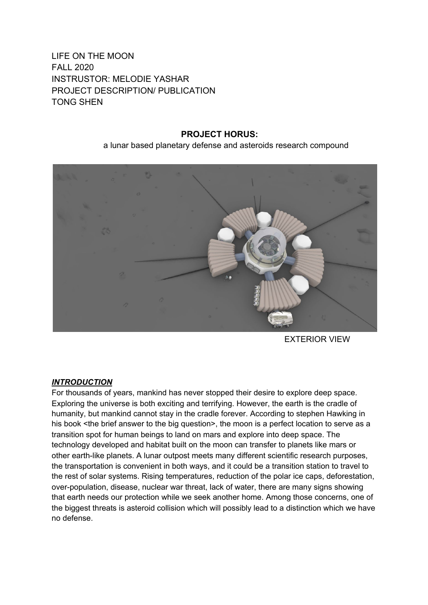# LIFE ON THE MOON FALL 2020 INSTRUSTOR: MELODIE YASHAR PROJECT DESCRIPTION/ PUBLICATION TONG SHEN

## **PROJECT HORUS:**

### a lunar based planetary defense and asteroids research compound



EXTERIOR VIEW

## *INTRODUCTION*

For thousands of years, mankind has never stopped their desire to explore deep space. Exploring the universe is both exciting and terrifying. However, the earth is the cradle of humanity, but mankind cannot stay in the cradle forever. According to stephen Hawking in his book <the brief answer to the big question>, the moon is a perfect location to serve as a transition spot for human beings to land on mars and explore into deep space. The technology developed and habitat built on the moon can transfer to planets like mars or other earth-like planets. A lunar outpost meets many different scientific research purposes, the transportation is convenient in both ways, and it could be a transition station to travel to the rest of solar systems. Rising temperatures, reduction of the polar ice caps, deforestation, over-population, disease, nuclear war threat, lack of water, there are many signs showing that earth needs our protection while we seek another home. Among those concerns, one of the biggest threats is asteroid collision which will possibly lead to a distinction which we have no defense.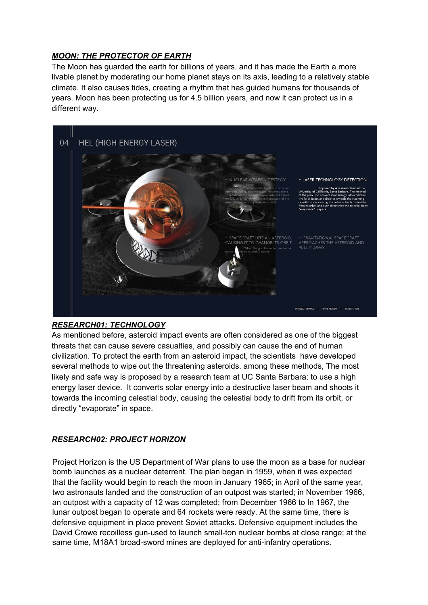## *MOON: THE PROTECTOR OF EARTH*

The Moon has guarded the earth for billions of years. and it has made the Earth a more livable planet by moderating our home planet stays on its axis, leading to a relatively stable climate. It also causes tides, creating a rhythm that has guided humans for thousands of years. Moon has been protecting us for 4.5 billion years, and now it can protect us in a different way.



## *RESEARCH01: TECHNOLOGY*

As mentioned before, asteroid impact events are often considered as one of the biggest threats that can cause severe casualties, and possibly can cause the end of human civilization. To protect the earth from an asteroid impact, the scientists have developed several methods to wipe out the threatening asteroids. among these methods, The most likely and safe way is proposed by a research team at UC Santa Barbara: to use a high energy laser device. It converts solar energy into a destructive laser beam and shoots it towards the incoming celestial body, causing the celestial body to drift from its orbit, or directly "evaporate" in space.

## *RESEARCH02: PROJECT HORIZON*

Project Horizon is the US Department of War plans to use the moon as a base for nuclear bomb launches as a nuclear deterrent. The plan began in 1959, when it was expected that the facility would begin to reach the moon in January 1965; in April of the same year, two astronauts landed and the construction of an outpost was started; in November 1966, an outpost with a capacity of 12 was completed; from December 1966 to In 1967, the lunar outpost began to operate and 64 rockets were ready. At the same time, there is defensive equipment in place prevent Soviet attacks. Defensive equipment includes the David Crowe recoilless gun-used to launch small-ton nuclear bombs at close range; at the same time, M18A1 broad-sword mines are deployed for anti-infantry operations.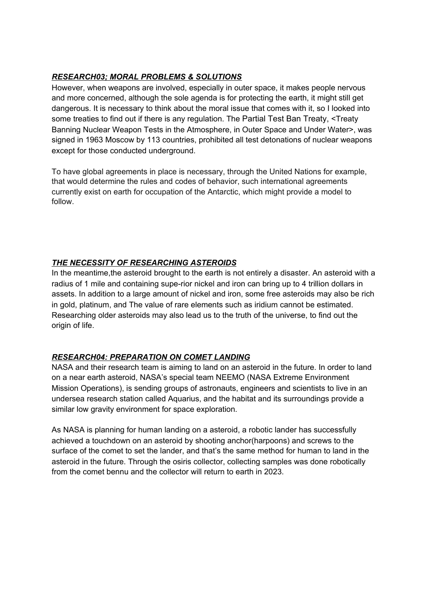## *RESEARCH03; MORAL PROBLEMS & SOLUTIONS*

However, when weapons are involved, especially in outer space, it makes people nervous and more concerned, although the sole agenda is for protecting the earth, it might still get dangerous. It is necessary to think about the moral issue that comes with it, so I looked into some treaties to find out if there is any regulation. The Partial Test Ban Treaty, <Treaty Banning Nuclear Weapon Tests in the Atmosphere, in Outer Space and Under Water>, was signed in 1963 Moscow by 113 countries, prohibited all test detonations of nuclear weapons except for those conducted underground.

To have global agreements in place is necessary, through the United Nations for example, that would determine the rules and codes of behavior, such international agreements currently exist on earth for occupation of the Antarctic, which might provide a model to follow.

## *THE NECESSITY OF RESEARCHING ASTEROIDS*

In the meantime, the asteroid brought to the earth is not entirely a disaster. An asteroid with a radius of 1 mile and containing supe-rior nickel and iron can bring up to 4 trillion dollars in assets. In addition to a large amount of nickel and iron, some free asteroids may also be rich in gold, platinum, and The value of rare elements such as iridium cannot be estimated. Researching older asteroids may also lead us to the truth of the universe, to find out the origin of life.

## *RESEARCH04: PREPARATION ON COMET LANDING*

NASA and their research team is aiming to land on an asteroid in the future. In order to land on a near earth asteroid, NASA's special team NEEMO (NASA Extreme Environment Mission Operations), is sending groups of astronauts, engineers and scientists to live in an undersea research station called Aquarius, and the habitat and its surroundings provide a similar low gravity environment for space exploration.

As NASA is planning for human landing on a asteroid, a robotic lander has successfully achieved a touchdown on an asteroid by shooting anchor(harpoons) and screws to the surface of the comet to set the lander, and that's the same method for human to land in the asteroid in the future. Through the osiris collector, collecting samples was done robotically from the comet bennu and the collector will return to earth in 2023.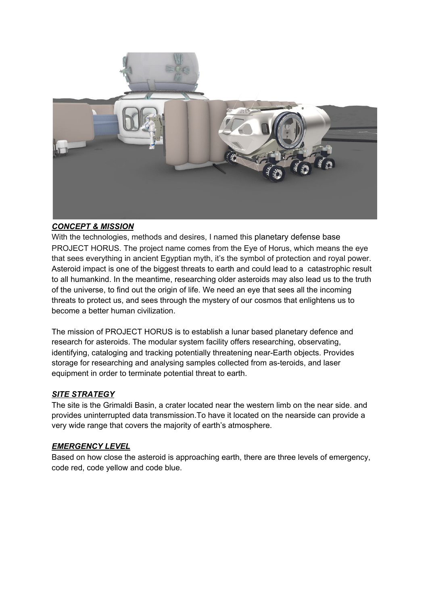

### *CONCEPT & MISSION*

With the technologies, methods and desires, I named this planetary defense base PROJECT HORUS. The project name comes from the Eye of Horus, which means the eye that sees everything in ancient Egyptian myth, it's the symbol of protection and royal power. Asteroid impact is one of the biggest threats to earth and could lead to a catastrophic result to all humankind. In the meantime, researching older asteroids may also lead us to the truth of the universe, to find out the origin of life. We need an eye that sees all the incoming threats to protect us, and sees through the mystery of our cosmos that enlightens us to become a better human civilization.

The mission of PROJECT HORUS is to establish a lunar based planetary defence and research for asteroids. The modular system facility offers researching, observating, identifying, cataloging and tracking potentially threatening near-Earth objects. Provides storage for researching and analysing samples collected from as-teroids, and laser equipment in order to terminate potential threat to earth.

### *SITE STRATEGY*

The site is the Grimaldi Basin, a crater located near the western limb on the near side. and provides uninterrupted data transmission.To have it located on the nearside can provide a very wide range that covers the majority of earth's atmosphere.

### *EMERGENCY LEVEL*

Based on how close the asteroid is approaching earth, there are three levels of emergency, code red, code yellow and code blue.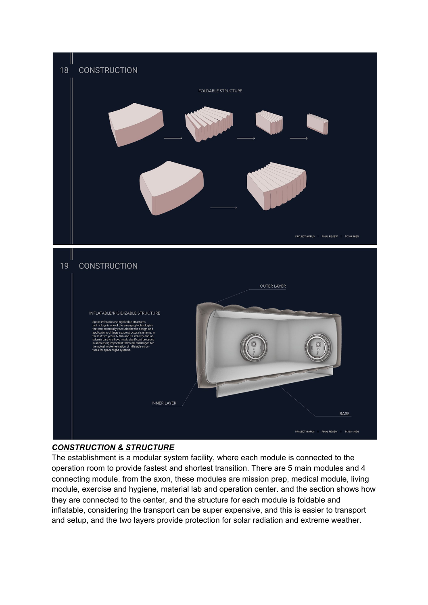

## *CONSTRUCTION & STRUCTURE*

The establishment is a modular system facility, where each module is connected to the operation room to provide fastest and shortest transition. There are 5 main modules and 4 connecting module. from the axon, these modules are mission prep, medical module, living module, exercise and hygiene, material lab and operation center. and the section shows how they are connected to the center, and the structure for each module is foldable and inflatable, considering the transport can be super expensive, and this is easier to transport and setup, and the two layers provide protection for solar radiation and extreme weather.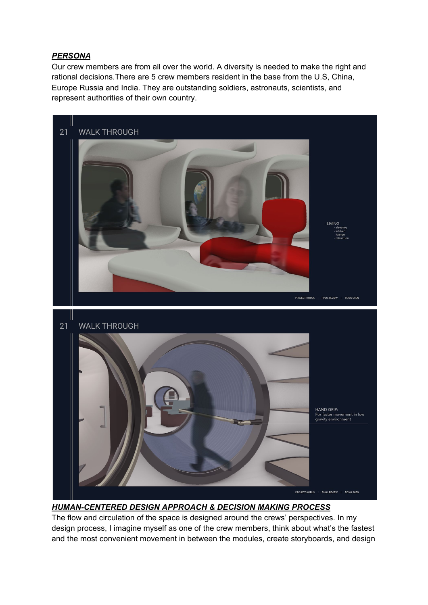## *PERSONA*

Our crew members are from all over the world. A diversity is needed to make the right and rational decisions.There are 5 crew members resident in the base from the U.S, China, Europe Russia and India. They are outstanding soldiers, astronauts, scientists, and represent authorities of their own country.



*HUMAN-CENTERED DESIGN APPROACH & DECISION MAKING PROCESS*

The flow and circulation of the space is designed around the crews' perspectives. In my design process, I imagine myself as one of the crew members, think about what's the fastest and the most convenient movement in between the modules, create storyboards, and design